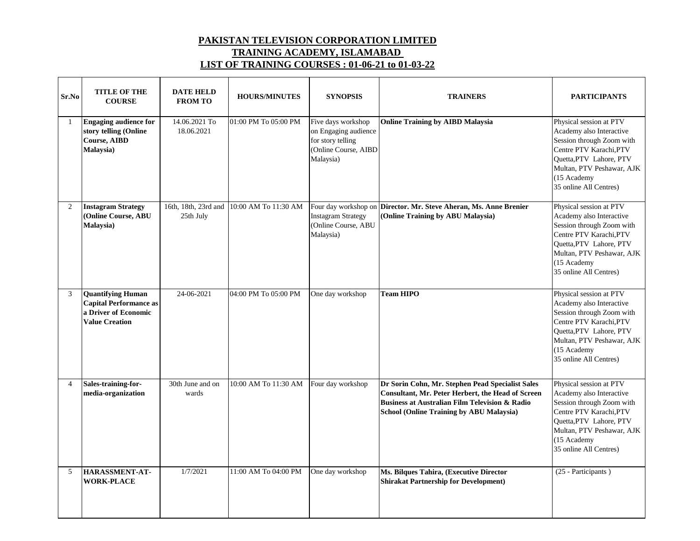## **PAKISTAN TELEVISION CORPORATION LIMITED TRAINING ACADEMY, ISLAMABAD LIST OF TRAINING COURSES : 01-06-21 to 01-03-22**

| Sr.No          | <b>TITLE OF THE</b><br><b>COURSE</b>                                                                       | <b>DATE HELD</b><br><b>FROM TO</b> | <b>HOURS/MINUTES</b> | <b>SYNOPSIS</b>                                                                                      | <b>TRAINERS</b>                                                                                                                                                                                                | <b>PARTICIPANTS</b>                                                                                                                                                                                          |
|----------------|------------------------------------------------------------------------------------------------------------|------------------------------------|----------------------|------------------------------------------------------------------------------------------------------|----------------------------------------------------------------------------------------------------------------------------------------------------------------------------------------------------------------|--------------------------------------------------------------------------------------------------------------------------------------------------------------------------------------------------------------|
| -1             | <b>Engaging audience for</b><br>story telling (Online<br><b>Course, AIBD</b><br>Malaysia)                  | 14.06.2021 To<br>18.06.2021        | 01:00 PM To 05:00 PM | Five days workshop<br>on Engaging audience<br>for story telling<br>(Online Course, AIBD<br>Malaysia) | <b>Online Training by AIBD Malaysia</b>                                                                                                                                                                        | Physical session at PTV<br>Academy also Interactive<br>Session through Zoom with<br>Centre PTV Karachi, PTV<br>Quetta, PTV Lahore, PTV<br>Multan, PTV Peshawar, AJK<br>(15 Academy<br>35 online All Centres) |
| $\overline{2}$ | <b>Instagram Strategy</b><br>(Online Course, ABU<br>Malaysia)                                              | 16th, 18th, 23rd and<br>25th July  | 10:00 AM To 11:30 AM | <b>Instagram Strategy</b><br>(Online Course, ABU<br>Malaysia)                                        | Four day workshop on Director. Mr. Steve Aheran, Ms. Anne Brenier<br>(Online Training by ABU Malaysia)                                                                                                         | Physical session at PTV<br>Academy also Interactive<br>Session through Zoom with<br>Centre PTV Karachi, PTV<br>Quetta, PTV Lahore, PTV<br>Multan, PTV Peshawar, AJK<br>(15 Academy<br>35 online All Centres) |
| 3              | <b>Quantifying Human</b><br><b>Capital Performance as</b><br>a Driver of Economic<br><b>Value Creation</b> | 24-06-2021                         | 04:00 PM To 05:00 PM | One day workshop                                                                                     | <b>Team HIPO</b>                                                                                                                                                                                               | Physical session at PTV<br>Academy also Interactive<br>Session through Zoom with<br>Centre PTV Karachi, PTV<br>Quetta, PTV Lahore, PTV<br>Multan, PTV Peshawar, AJK<br>(15 Academy<br>35 online All Centres) |
| $\overline{4}$ | Sales-training-for-<br>media-organization                                                                  | 30th June and on<br>wards          | 10:00 AM To 11:30 AM | Four day workshop                                                                                    | Dr Sorin Cohn, Mr. Stephen Pead Specialist Sales<br>Consultant, Mr. Peter Herbert, the Head of Screen<br><b>Business at Australian Film Television &amp; Radio</b><br>School (Online Training by ABU Malaysia) | Physical session at PTV<br>Academy also Interactive<br>Session through Zoom with<br>Centre PTV Karachi, PTV<br>Quetta, PTV Lahore, PTV<br>Multan, PTV Peshawar, AJK<br>(15 Academy<br>35 online All Centres) |
| 5              | HARASSMENT-AT-<br><b>WORK-PLACE</b>                                                                        | 1/7/2021                           | 11:00 AM To 04:00 PM | One day workshop                                                                                     | Ms. Bilques Tahira, (Executive Director<br><b>Shirakat Partnership for Development)</b>                                                                                                                        | (25 - Participants)                                                                                                                                                                                          |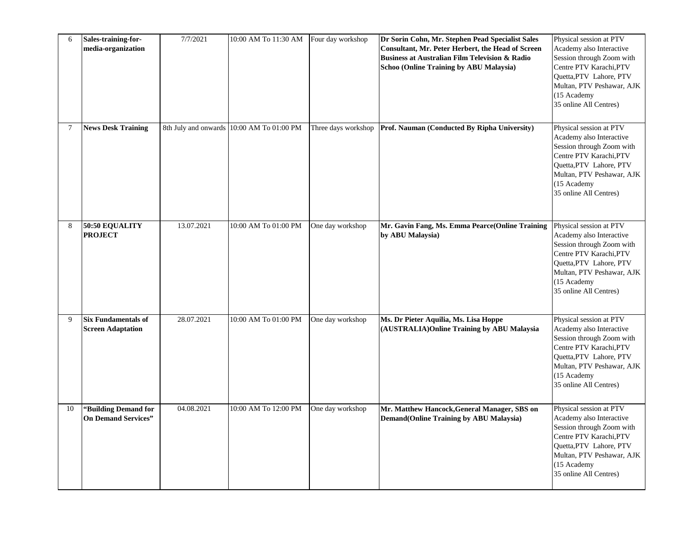| 6              | Sales-training-for-<br>media-organization              | 7/7/2021   | 10:00 AM To 11:30 AM Four day workshop    |                     | Dr Sorin Cohn, Mr. Stephen Pead Specialist Sales<br>Consultant, Mr. Peter Herbert, the Head of Screen<br><b>Business at Australian Film Television &amp; Radio</b><br><b>Schoo (Online Training by ABU Malaysia)</b> | Physical session at PTV<br>Academy also Interactive<br>Session through Zoom with<br>Centre PTV Karachi, PTV<br>Quetta, PTV Lahore, PTV<br>Multan, PTV Peshawar, AJK<br>(15 Academy<br>35 online All Centres) |
|----------------|--------------------------------------------------------|------------|-------------------------------------------|---------------------|----------------------------------------------------------------------------------------------------------------------------------------------------------------------------------------------------------------------|--------------------------------------------------------------------------------------------------------------------------------------------------------------------------------------------------------------|
| $\overline{7}$ | <b>News Desk Training</b>                              |            | 8th July and onwards 10:00 AM To 01:00 PM | Three days workshop | Prof. Nauman (Conducted By Ripha University)                                                                                                                                                                         | Physical session at PTV<br>Academy also Interactive<br>Session through Zoom with<br>Centre PTV Karachi, PTV<br>Quetta, PTV Lahore, PTV<br>Multan, PTV Peshawar, AJK<br>(15 Academy<br>35 online All Centres) |
| 8              | 50:50 EQUALITY<br><b>PROJECT</b>                       | 13.07.2021 | 10:00 AM To 01:00 PM                      | One day workshop    | Mr. Gavin Fang, Ms. Emma Pearce(Online Training<br>by ABU Malaysia)                                                                                                                                                  | Physical session at PTV<br>Academy also Interactive<br>Session through Zoom with<br>Centre PTV Karachi, PTV<br>Quetta, PTV Lahore, PTV<br>Multan, PTV Peshawar, AJK<br>(15 Academy<br>35 online All Centres) |
| 9              | <b>Six Fundamentals of</b><br><b>Screen Adaptation</b> | 28.07.2021 | 10:00 AM To 01:00 PM                      | One day workshop    | Ms. Dr Pieter Aquilia, Ms. Lisa Hoppe<br>(AUSTRALIA) Online Training by ABU Malaysia                                                                                                                                 | Physical session at PTV<br>Academy also Interactive<br>Session through Zoom with<br>Centre PTV Karachi, PTV<br>Quetta, PTV Lahore, PTV<br>Multan, PTV Peshawar, AJK<br>(15 Academy<br>35 online All Centres) |
| 10             | "Building Demand for<br><b>On Demand Services"</b>     | 04.08.2021 | 10:00 AM To 12:00 PM                      | One day workshop    | Mr. Matthew Hancock, General Manager, SBS on<br><b>Demand(Online Training by ABU Malaysia)</b>                                                                                                                       | Physical session at PTV<br>Academy also Interactive<br>Session through Zoom with<br>Centre PTV Karachi, PTV<br>Quetta, PTV Lahore, PTV<br>Multan, PTV Peshawar, AJK<br>(15 Academy<br>35 online All Centres) |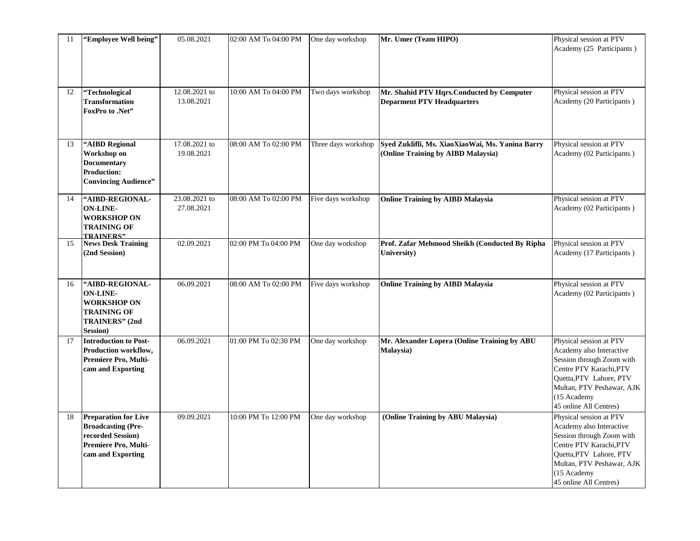| 11 | "Employee Well being"                                                                                                      | 05.08.2021                  | 02:00 AM To 04:00 PM | One day workshop    | Mr. Umer (Team HIPO)                                                                   | Physical session at PTV<br>Academy (25 Participants)                                                                                                                                                         |
|----|----------------------------------------------------------------------------------------------------------------------------|-----------------------------|----------------------|---------------------|----------------------------------------------------------------------------------------|--------------------------------------------------------------------------------------------------------------------------------------------------------------------------------------------------------------|
| 12 | "Technological<br><b>Transformation</b><br>FoxPro to .Net"                                                                 | 12.08.2021 to<br>13.08.2021 | 10:00 AM To 04:00 PM | Two days workshop   | Mr. Shahid PTV Hqrs.Conducted by Computer<br><b>Deparment PTV Headquarters</b>         | Physical session at PTV<br>Academy (20 Participants)                                                                                                                                                         |
| 13 | "AIBD Regional<br>Workshop on<br><b>Documentary</b><br><b>Production:</b><br><b>Convincing Audience"</b>                   | 17.08.2021 to<br>19.08.2021 | 08:00 AM To 02:00 PM | Three days workshop | Syed Zuklifli, Ms. XiaoXiaoWai, Ms. Yanina Barry<br>(Online Training by AIBD Malaysia) | Physical session at PTV<br>Academy (02 Participants)                                                                                                                                                         |
| 14 | "AIBD-REGIONAL-<br><b>ON-LINE-</b><br><b>WORKSHOP ON</b><br><b>TRAINING OF</b><br><b>TRAINERS"</b>                         | 23.08.2021 to<br>27.08.2021 | 08:00 AM To 02:00 PM | Five days workshop  | <b>Online Training by AIBD Malaysia</b>                                                | Physical session at PTV<br>Academy (02 Participants)                                                                                                                                                         |
| 15 | <b>News Desk Training</b><br>(2nd Session)                                                                                 | 02.09.2021                  | 02:00 PM To 04:00 PM | One day workshop    | Prof. Zafar Mehmood Sheikh (Conducted By Ripha<br>University)                          | Physical session at PTV<br>Academy (17 Participants)                                                                                                                                                         |
| 16 | "AIBD-REGIONAL-<br><b>ON-LINE-</b><br><b>WORKSHOP ON</b><br><b>TRAINING OF</b><br>TRAINERS" (2nd<br>Session)               | 06.09.2021                  | 08:00 AM To 02:00 PM | Five days workshop  | <b>Online Training by AIBD Malaysia</b>                                                | Physical session at PTV<br>Academy (02 Participants)                                                                                                                                                         |
| 17 | <b>Introduction to Post-</b><br>Production workflow,<br>Premiere Pro, Multi-<br>cam and Exporting                          | 06.09.2021                  | 01:00 PM To 02:30 PM | One day workshop    | Mr. Alexander Lopera (Online Training by ABU<br>Malaysia)                              | Physical session at PTV<br>Academy also Interactive<br>Session through Zoom with<br>Centre PTV Karachi, PTV<br>Quetta, PTV Lahore, PTV<br>Multan, PTV Peshawar, AJK<br>(15 Academy<br>45 online All Centres) |
| 18 | <b>Preparation for Live</b><br><b>Broadcasting (Pre-</b><br>recorded Session)<br>Premiere Pro, Multi-<br>cam and Exporting | 09.09.2021                  | 10:00 PM To 12:00 PM | One day workshop    | (Online Training by ABU Malaysia)                                                      | Physical session at PTV<br>Academy also Interactive<br>Session through Zoom with<br>Centre PTV Karachi, PTV<br>Quetta, PTV Lahore, PTV<br>Multan, PTV Peshawar, AJK<br>(15 Academy<br>45 online All Centres) |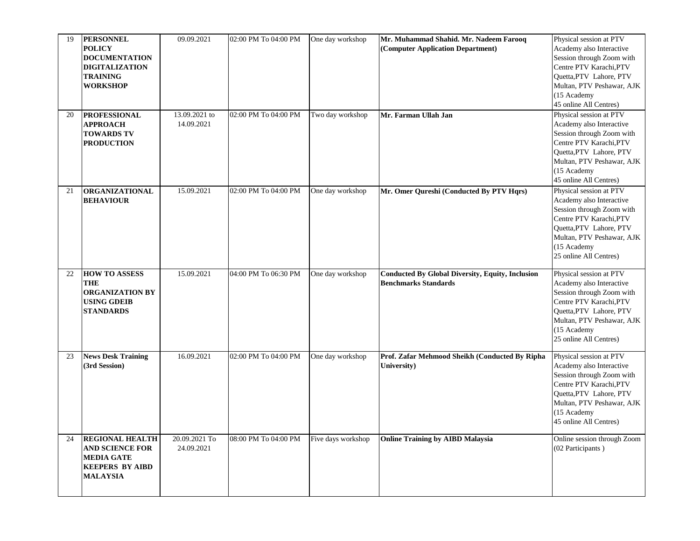| 19<br>20 | <b>PERSONNEL</b><br><b>POLICY</b><br><b>DOCUMENTATION</b><br><b>DIGITALIZATION</b><br><b>TRAINING</b><br><b>WORKSHOP</b><br><b>PROFESSIONAL</b> | 09.09.2021<br>13.09.2021 to | 02:00 PM To 04:00 PM<br>02:00 PM To 04:00 PM | One day workshop<br>Two day workshop | Mr. Muhammad Shahid. Mr. Nadeem Farooq<br>(Computer Application Department)<br>Mr. Farman Ullah Jan | Physical session at PTV<br>Academy also Interactive<br>Session through Zoom with<br>Centre PTV Karachi, PTV<br>Quetta, PTV Lahore, PTV<br>Multan, PTV Peshawar, AJK<br>(15 Academy<br>45 online All Centres)<br>Physical session at PTV |
|----------|-------------------------------------------------------------------------------------------------------------------------------------------------|-----------------------------|----------------------------------------------|--------------------------------------|-----------------------------------------------------------------------------------------------------|-----------------------------------------------------------------------------------------------------------------------------------------------------------------------------------------------------------------------------------------|
|          | <b>APPROACH</b><br><b>TOWARDS TV</b><br><b>PRODUCTION</b>                                                                                       | 14.09.2021                  |                                              |                                      |                                                                                                     | Academy also Interactive<br>Session through Zoom with<br>Centre PTV Karachi, PTV<br>Quetta, PTV Lahore, PTV<br>Multan, PTV Peshawar, AJK<br>(15 Academy<br>45 online All Centres)                                                       |
| 21       | <b>ORGANIZATIONAL</b><br><b>BEHAVIOUR</b>                                                                                                       | 15.09.2021                  | 02:00 PM To 04:00 PM                         | One day workshop                     | Mr. Omer Qureshi (Conducted By PTV Hqrs)                                                            | Physical session at PTV<br>Academy also Interactive<br>Session through Zoom with<br>Centre PTV Karachi, PTV<br>Quetta, PTV Lahore, PTV<br>Multan, PTV Peshawar, AJK<br>(15 Academy<br>25 online All Centres)                            |
| 22       | <b>HOW TO ASSESS</b><br><b>THE</b><br><b>ORGANIZATION BY</b><br><b>USING GDEIB</b><br><b>STANDARDS</b>                                          | 15.09.2021                  | 04:00 PM To 06:30 PM                         | One day workshop                     | <b>Conducted By Global Diversity, Equity, Inclusion</b><br><b>Benchmarks Standards</b>              | Physical session at PTV<br>Academy also Interactive<br>Session through Zoom with<br>Centre PTV Karachi, PTV<br>Quetta, PTV Lahore, PTV<br>Multan, PTV Peshawar, AJK<br>(15 Academy<br>25 online All Centres)                            |
| 23       | <b>News Desk Training</b><br>(3rd Session)                                                                                                      | 16.09.2021                  | 02:00 PM To 04:00 PM                         | One day workshop                     | Prof. Zafar Mehmood Sheikh (Conducted By Ripha<br>University)                                       | Physical session at PTV<br>Academy also Interactive<br>Session through Zoom with<br>Centre PTV Karachi, PTV<br><b>Ouetta, PTV</b> Lahore, PTV<br>Multan, PTV Peshawar, AJK<br>(15 Academy<br>45 online All Centres)                     |
| 24       | <b>REGIONAL HEALTH</b><br><b>AND SCIENCE FOR</b><br><b>MEDIA GATE</b><br><b>KEEPERS BY AIBD</b><br><b>MALAYSIA</b>                              | 20.09.2021 To<br>24.09.2021 | 08:00 PM To 04:00 PM                         | Five days workshop                   | <b>Online Training by AIBD Malaysia</b>                                                             | Online session through Zoom<br>(02 Participants)                                                                                                                                                                                        |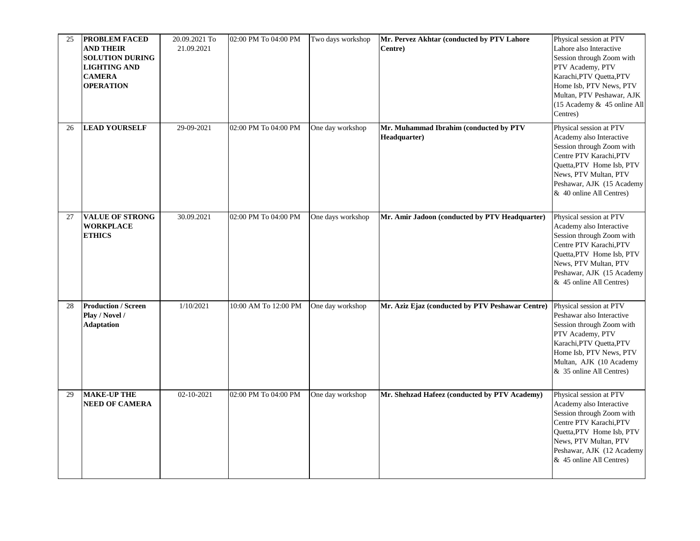| 25 | <b>PROBLEM FACED</b><br><b>AND THEIR</b><br><b>SOLUTION DURING</b><br><b>LIGHTING AND</b><br><b>CAMERA</b><br><b>OPERATION</b> | 20.09.2021 To<br>21.09.2021 | 02:00 PM To 04:00 PM | Two days workshop | Mr. Pervez Akhtar (conducted by PTV Lahore<br>Centre)  | Physical session at PTV<br>Lahore also Interactive<br>Session through Zoom with<br>PTV Academy, PTV<br>Karachi, PTV Quetta, PTV<br>Home Isb, PTV News, PTV<br>Multan, PTV Peshawar, AJK<br>(15 Academy & 45 online All<br>Centres) |
|----|--------------------------------------------------------------------------------------------------------------------------------|-----------------------------|----------------------|-------------------|--------------------------------------------------------|------------------------------------------------------------------------------------------------------------------------------------------------------------------------------------------------------------------------------------|
| 26 | <b>LEAD YOURSELF</b>                                                                                                           | 29-09-2021                  | 02:00 PM To 04:00 PM | One day workshop  | Mr. Muhammad Ibrahim (conducted by PTV<br>Headquarter) | Physical session at PTV<br>Academy also Interactive<br>Session through Zoom with<br>Centre PTV Karachi, PTV<br>Quetta, PTV Home Isb, PTV<br>News, PTV Multan, PTV<br>Peshawar, AJK (15 Academy<br>& 40 online All Centres)         |
| 27 | <b>VALUE OF STRONG</b><br><b>WORKPLACE</b><br><b>ETHICS</b>                                                                    | 30.09.2021                  | 02:00 PM To 04:00 PM | One days workshop | Mr. Amir Jadoon (conducted by PTV Headquarter)         | Physical session at PTV<br>Academy also Interactive<br>Session through Zoom with<br>Centre PTV Karachi, PTV<br>Quetta, PTV Home Isb, PTV<br>News, PTV Multan, PTV<br>Peshawar, AJK (15 Academy<br>& 45 online All Centres)         |
| 28 | <b>Production / Screen</b><br>Play / Novel /<br><b>Adaptation</b>                                                              | 1/10/2021                   | 10:00 AM To 12:00 PM | One day workshop  | Mr. Aziz Ejaz (conducted by PTV Peshawar Centre)       | Physical session at PTV<br>Peshawar also Interactive<br>Session through Zoom with<br>PTV Academy, PTV<br>Karachi, PTV Quetta, PTV<br>Home Isb, PTV News, PTV<br>Multan, AJK (10 Academy<br>& 35 online All Centres)                |
| 29 | <b>MAKE-UP THE</b><br><b>NEED OF CAMERA</b>                                                                                    | $02 - 10 - 2021$            | 02:00 PM To 04:00 PM | One day workshop  | Mr. Shehzad Hafeez (conducted by PTV Academy)          | Physical session at PTV<br>Academy also Interactive<br>Session through Zoom with<br>Centre PTV Karachi, PTV<br>Quetta, PTV Home Isb, PTV<br>News, PTV Multan, PTV<br>Peshawar, AJK (12 Academy<br>& 45 online All Centres)         |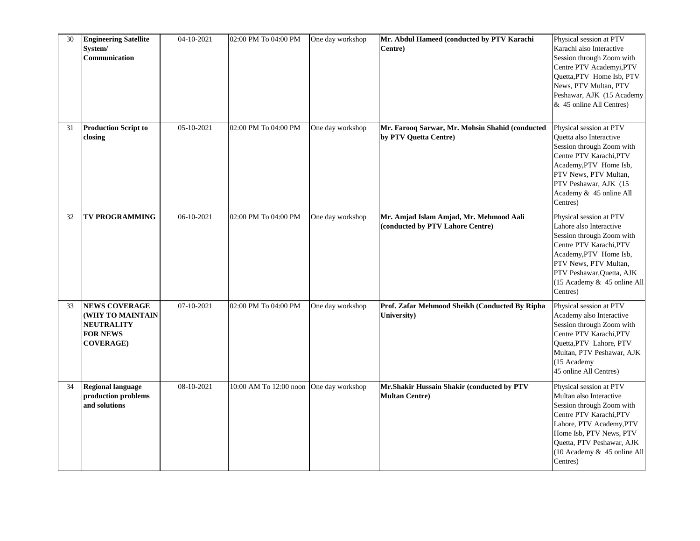| 30 | <b>Engineering Satellite</b><br>System/<br>Communication                                             | 04-10-2021 | 02:00 PM To 04:00 PM                    | One day workshop | Mr. Abdul Hameed (conducted by PTV Karachi<br>Centre)                       | Physical session at PTV<br>Karachi also Interactive<br>Session through Zoom with<br>Centre PTV Academyi, PTV<br>Quetta, PTV Home Isb, PTV<br>News, PTV Multan, PTV<br>Peshawar, AJK (15 Academy<br>& 45 online All Centres)               |
|----|------------------------------------------------------------------------------------------------------|------------|-----------------------------------------|------------------|-----------------------------------------------------------------------------|-------------------------------------------------------------------------------------------------------------------------------------------------------------------------------------------------------------------------------------------|
| 31 | <b>Production Script to</b><br>closing                                                               | 05-10-2021 | 02:00 PM To 04:00 PM                    | One day workshop | Mr. Farooq Sarwar, Mr. Mohsin Shahid (conducted<br>by PTV Quetta Centre)    | Physical session at PTV<br>Quetta also Interactive<br>Session through Zoom with<br>Centre PTV Karachi, PTV<br>Academy, PTV Home Isb,<br>PTV News, PTV Multan,<br>PTV Peshawar, AJK (15<br>Academy & 45 online All<br>Centres)             |
| 32 | <b>TV PROGRAMMING</b>                                                                                | 06-10-2021 | 02:00 PM To 04:00 PM                    | One day workshop | Mr. Amjad Islam Amjad, Mr. Mehmood Aali<br>(conducted by PTV Lahore Centre) | Physical session at PTV<br>Lahore also Interactive<br>Session through Zoom with<br>Centre PTV Karachi, PTV<br>Academy, PTV Home Isb,<br>PTV News, PTV Multan,<br>PTV Peshawar, Quetta, AJK<br>(15 Academy & 45 online All<br>Centres)     |
| 33 | <b>NEWS COVERAGE</b><br>(WHY TO MAINTAIN<br><b>NEUTRALITY</b><br><b>FOR NEWS</b><br><b>COVERAGE)</b> | 07-10-2021 | 02:00 PM To 04:00 PM                    | One day workshop | Prof. Zafar Mehmood Sheikh (Conducted By Ripha<br>University)               | Physical session at PTV<br>Academy also Interactive<br>Session through Zoom with<br>Centre PTV Karachi, PTV<br>Quetta, PTV Lahore, PTV<br>Multan, PTV Peshawar, AJK<br>(15 Academy<br>45 online All Centres)                              |
| 34 | <b>Regional language</b><br>production problems<br>and solutions                                     | 08-10-2021 | 10:00 AM To 12:00 noon One day workshop |                  | Mr.Shakir Hussain Shakir (conducted by PTV<br><b>Multan Centre)</b>         | Physical session at PTV<br>Multan also Interactive<br>Session through Zoom with<br>Centre PTV Karachi, PTV<br>Lahore, PTV Academy, PTV<br>Home Isb, PTV News, PTV<br>Quetta, PTV Peshawar, AJK<br>(10 Academy & 45 online All<br>Centres) |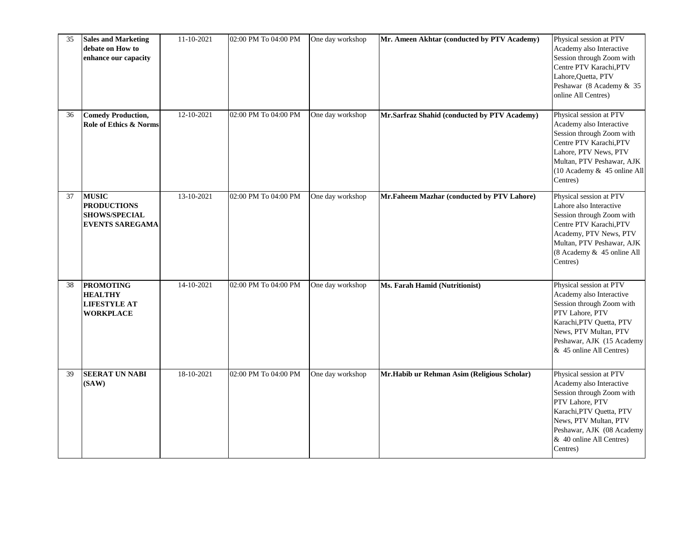| 35 | <b>Sales and Marketing</b><br>debate on How to<br>enhance our capacity               | 11-10-2021       | 02:00 PM To 04:00 PM | One day workshop | Mr. Ameen Akhtar (conducted by PTV Academy)  | Physical session at PTV<br>Academy also Interactive<br>Session through Zoom with<br>Centre PTV Karachi, PTV<br>Lahore, Quetta, PTV<br>Peshawar (8 Academy & 35<br>online All Centres)                                         |
|----|--------------------------------------------------------------------------------------|------------------|----------------------|------------------|----------------------------------------------|-------------------------------------------------------------------------------------------------------------------------------------------------------------------------------------------------------------------------------|
| 36 | <b>Comedy Production,</b><br>Role of Ethics & Norms                                  | 12-10-2021       | 02:00 PM To 04:00 PM | One day workshop | Mr.Sarfraz Shahid (conducted by PTV Academy) | Physical session at PTV<br>Academy also Interactive<br>Session through Zoom with<br>Centre PTV Karachi, PTV<br>Lahore, PTV News, PTV<br>Multan, PTV Peshawar, AJK<br>(10 Academy & 45 online All<br>Centres)                  |
| 37 | <b>MUSIC</b><br><b>PRODUCTIONS</b><br><b>SHOWS/SPECIAL</b><br><b>EVENTS SAREGAMA</b> | $13 - 10 - 2021$ | 02:00 PM To 04:00 PM | One day workshop | Mr.Faheem Mazhar (conducted by PTV Lahore)   | Physical session at PTV<br>Lahore also Interactive<br>Session through Zoom with<br>Centre PTV Karachi, PTV<br>Academy, PTV News, PTV<br>Multan, PTV Peshawar, AJK<br>(8 Academy & 45 online All<br>Centres)                   |
| 38 | <b>PROMOTING</b><br><b>HEALTHY</b><br><b>LIFESTYLE AT</b><br><b>WORKPLACE</b>        | 14-10-2021       | 02:00 PM To 04:00 PM | One day workshop | Ms. Farah Hamid (Nutritionist)               | Physical session at PTV<br>Academy also Interactive<br>Session through Zoom with<br>PTV Lahore, PTV<br>Karachi, PTV Quetta, PTV<br>News, PTV Multan, PTV<br>Peshawar, AJK (15 Academy<br>& 45 online All Centres)             |
| 39 | <b>SEERAT UN NABI</b><br>(SAW)                                                       | 18-10-2021       | 02:00 PM To 04:00 PM | One day workshop | Mr.Habib ur Rehman Asim (Religious Scholar)  | Physical session at PTV<br>Academy also Interactive<br>Session through Zoom with<br>PTV Lahore, PTV<br>Karachi, PTV Quetta, PTV<br>News, PTV Multan, PTV<br>Peshawar, AJK (08 Academy<br>& 40 online All Centres)<br>Centres) |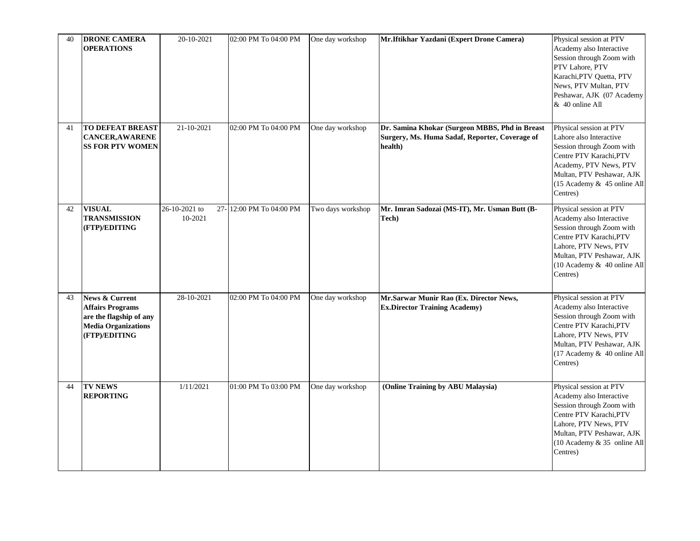| 40 | <b>DRONE CAMERA</b><br><b>OPERATIONS</b>                                                                                       | 20-10-2021               | 02:00 PM To 04:00 PM    | One day workshop  | Mr.Iftikhar Yazdani (Expert Drone Camera)                                                                   | Physical session at PTV<br>Academy also Interactive<br>Session through Zoom with<br>PTV Lahore, PTV<br>Karachi, PTV Quetta, PTV<br>News, PTV Multan, PTV<br>Peshawar, AJK (07 Academy<br>& 40 online All     |
|----|--------------------------------------------------------------------------------------------------------------------------------|--------------------------|-------------------------|-------------------|-------------------------------------------------------------------------------------------------------------|--------------------------------------------------------------------------------------------------------------------------------------------------------------------------------------------------------------|
| 41 | <b>TO DEFEAT BREAST</b><br><b>CANCER, AWARENE</b><br><b>SS FOR PTV WOMEN</b>                                                   | 21-10-2021               | 02:00 PM To 04:00 PM    | One day workshop  | Dr. Samina Khokar (Surgeon MBBS, Phd in Breast<br>Surgery, Ms. Huma Sadaf, Reporter, Coverage of<br>health) | Physical session at PTV<br>Lahore also Interactive<br>Session through Zoom with<br>Centre PTV Karachi, PTV<br>Academy, PTV News, PTV<br>Multan, PTV Peshawar, AJK<br>(15 Academy & 45 online All<br>Centres) |
| 42 | <b>VISUAL</b><br><b>TRANSMISSION</b><br>(FTP)/EDITING                                                                          | 26-10-2021 to<br>10-2021 | 27-12:00 PM To 04:00 PM | Two days workshop | Mr. Imran Sadozai (MS-IT), Mr. Usman Butt (B-<br>Tech)                                                      | Physical session at PTV<br>Academy also Interactive<br>Session through Zoom with<br>Centre PTV Karachi, PTV<br>Lahore, PTV News, PTV<br>Multan, PTV Peshawar, AJK<br>(10 Academy & 40 online All<br>Centres) |
| 43 | <b>News &amp; Current</b><br><b>Affairs Programs</b><br>are the flagship of any<br><b>Media Organizations</b><br>(FTP)/EDITING | 28-10-2021               | 02:00 PM To 04:00 PM    | One day workshop  | Mr.Sarwar Munir Rao (Ex. Director News,<br><b>Ex.Director Training Academy)</b>                             | Physical session at PTV<br>Academy also Interactive<br>Session through Zoom with<br>Centre PTV Karachi, PTV<br>Lahore, PTV News, PTV<br>Multan, PTV Peshawar, AJK<br>(17 Academy & 40 online All<br>Centres) |
| 44 | <b>TV NEWS</b><br><b>REPORTING</b>                                                                                             | 1/11/2021                | 01:00 PM To 03:00 PM    | One day workshop  | (Online Training by ABU Malaysia)                                                                           | Physical session at PTV<br>Academy also Interactive<br>Session through Zoom with<br>Centre PTV Karachi, PTV<br>Lahore, PTV News, PTV<br>Multan, PTV Peshawar, AJK<br>(10 Academy & 35 online All<br>Centres) |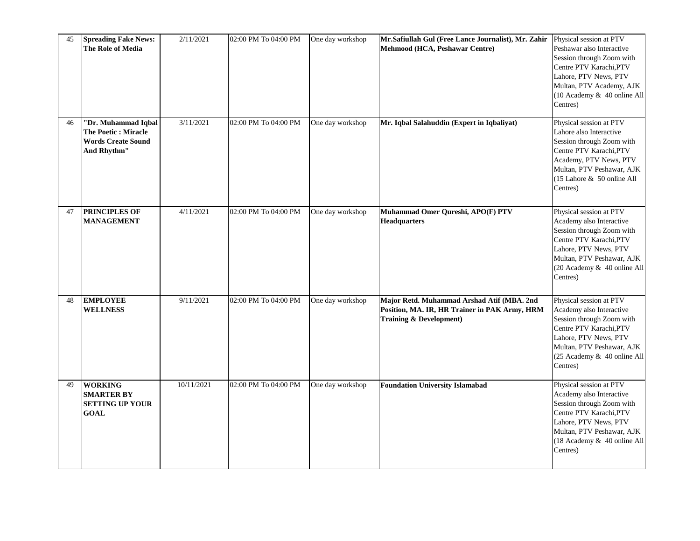| 45 | <b>Spreading Fake News:</b><br>The Role of Media                                        | 2/11/2021  | 02:00 PM To 04:00 PM | One day workshop | Mr.Safiullah Gul (Free Lance Journalist), Mr. Zahir<br>Mehmood (HCA, Peshawar Centre)                                             | Physical session at PTV<br>Peshawar also Interactive<br>Session through Zoom with<br>Centre PTV Karachi, PTV<br>Lahore, PTV News, PTV<br>Multan, PTV Academy, AJK<br>(10 Academy & 40 online All<br>Centres) |
|----|-----------------------------------------------------------------------------------------|------------|----------------------|------------------|-----------------------------------------------------------------------------------------------------------------------------------|--------------------------------------------------------------------------------------------------------------------------------------------------------------------------------------------------------------|
| 46 | "Dr. Muhammad Iqbal<br>The Poetic : Miracle<br><b>Words Create Sound</b><br>And Rhythm" | 3/11/2021  | 02:00 PM To 04:00 PM | One day workshop | Mr. Iqbal Salahuddin (Expert in Iqbaliyat)                                                                                        | Physical session at PTV<br>Lahore also Interactive<br>Session through Zoom with<br>Centre PTV Karachi, PTV<br>Academy, PTV News, PTV<br>Multan, PTV Peshawar, AJK<br>(15 Lahore & 50 online All<br>Centres)  |
| 47 | <b>PRINCIPLES OF</b><br><b>MANAGEMENT</b>                                               | 4/11/2021  | 02:00 PM To 04:00 PM | One day workshop | Muhammad Omer Qureshi, APO(F) PTV<br><b>Headquarters</b>                                                                          | Physical session at PTV<br>Academy also Interactive<br>Session through Zoom with<br>Centre PTV Karachi, PTV<br>Lahore, PTV News, PTV<br>Multan, PTV Peshawar, AJK<br>(20 Academy & 40 online All<br>Centres) |
| 48 | <b>EMPLOYEE</b><br><b>WELLNESS</b>                                                      | 9/11/2021  | 02:00 PM To 04:00 PM | One day workshop | Major Retd. Muhammad Arshad Atif (MBA. 2nd<br>Position, MA. IR, HR Trainer in PAK Army, HRM<br><b>Training &amp; Development)</b> | Physical session at PTV<br>Academy also Interactive<br>Session through Zoom with<br>Centre PTV Karachi, PTV<br>Lahore, PTV News, PTV<br>Multan, PTV Peshawar, AJK<br>(25 Academy & 40 online All<br>Centres) |
| 49 | <b>WORKING</b><br><b>SMARTER BY</b><br><b>SETTING UP YOUR</b><br><b>GOAL</b>            | 10/11/2021 | 02:00 PM To 04:00 PM | One day workshop | <b>Foundation University Islamabad</b>                                                                                            | Physical session at PTV<br>Academy also Interactive<br>Session through Zoom with<br>Centre PTV Karachi, PTV<br>Lahore, PTV News, PTV<br>Multan, PTV Peshawar, AJK<br>(18 Academy & 40 online All<br>Centres) |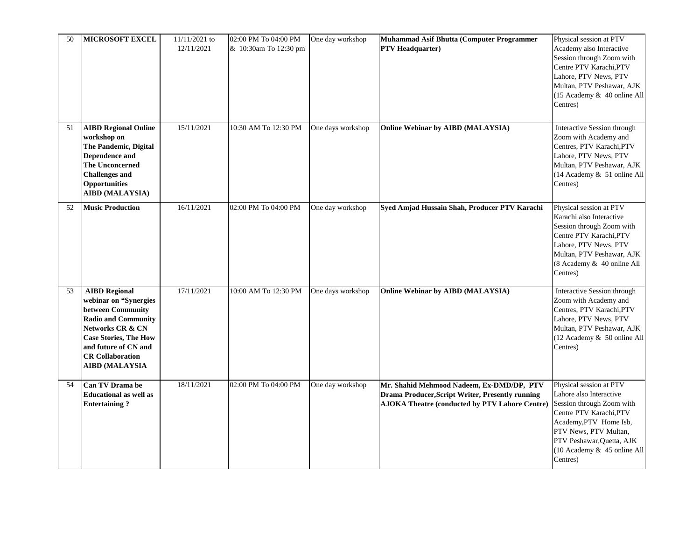| 50 | <b>MICROSOFT EXCEL</b>                                                                                                                                                                                                           | 11/11/2021 to<br>12/11/2021 | 02:00 PM To 04:00 PM<br>& 10:30am To 12:30 pm | One day workshop  | Muhammad Asif Bhutta (Computer Programmer<br><b>PTV Headquarter)</b>                                                                                   | Physical session at PTV<br>Academy also Interactive<br>Session through Zoom with<br>Centre PTV Karachi, PTV<br>Lahore, PTV News, PTV<br>Multan, PTV Peshawar, AJK<br>(15 Academy & 40 online All<br>Centres)                          |
|----|----------------------------------------------------------------------------------------------------------------------------------------------------------------------------------------------------------------------------------|-----------------------------|-----------------------------------------------|-------------------|--------------------------------------------------------------------------------------------------------------------------------------------------------|---------------------------------------------------------------------------------------------------------------------------------------------------------------------------------------------------------------------------------------|
| 51 | <b>AIBD Regional Online</b><br>workshop on<br>The Pandemic, Digital<br>Dependence and<br><b>The Unconcerned</b><br><b>Challenges and</b><br><b>Opportunities</b><br><b>AIBD</b> (MALAYSIA)                                       | 15/11/2021                  | 10:30 AM To 12:30 PM                          | One days workshop | Online Webinar by AIBD (MALAYSIA)                                                                                                                      | Interactive Session through<br>Zoom with Academy and<br>Centres, PTV Karachi, PTV<br>Lahore, PTV News, PTV<br>Multan, PTV Peshawar, AJK<br>(14 Academy & 51 online All<br>Centres)                                                    |
| 52 | <b>Music Production</b>                                                                                                                                                                                                          | 16/11/2021                  | 02:00 PM To 04:00 PM                          | One day workshop  | Syed Amjad Hussain Shah, Producer PTV Karachi                                                                                                          | Physical session at PTV<br>Karachi also Interactive<br>Session through Zoom with<br>Centre PTV Karachi, PTV<br>Lahore, PTV News, PTV<br>Multan, PTV Peshawar, AJK<br>(8 Academy & 40 online All<br>Centres)                           |
| 53 | <b>AIBD Regional</b><br>webinar on "Synergies<br>between Community<br><b>Radio and Community</b><br>Networks CR & CN<br><b>Case Stories, The How</b><br>and future of CN and<br><b>CR Collaboration</b><br><b>AIBD (MALAYSIA</b> | 17/11/2021                  | 10:00 AM To 12:30 PM                          | One days workshop | Online Webinar by AIBD (MALAYSIA)                                                                                                                      | Interactive Session through<br>Zoom with Academy and<br>Centres, PTV Karachi, PTV<br>Lahore, PTV News, PTV<br>Multan, PTV Peshawar, AJK<br>(12 Academy & 50 online All<br>Centres)                                                    |
| 54 | <b>Can TV Drama be</b><br><b>Educational as well as</b><br><b>Entertaining?</b>                                                                                                                                                  | 18/11/2021                  | 02:00 PM To 04:00 PM                          | One day workshop  | Mr. Shahid Mehmood Nadeem, Ex-DMD/DP, PTV<br>Drama Producer, Script Writer, Presently running<br><b>AJOKA Theatre (conducted by PTV Lahore Centre)</b> | Physical session at PTV<br>Lahore also Interactive<br>Session through Zoom with<br>Centre PTV Karachi, PTV<br>Academy, PTV Home Isb,<br>PTV News, PTV Multan,<br>PTV Peshawar, Quetta, AJK<br>(10 Academy & 45 online All<br>Centres) |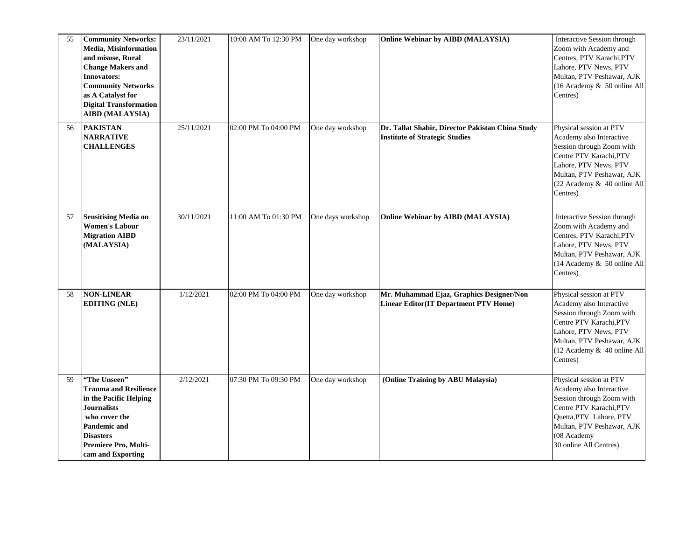| 55 | <b>Community Networks:</b><br>Media, Misinformation<br>and misuse, Rural<br><b>Change Makers and</b><br><b>Innovators:</b><br><b>Community Networks</b><br>as A Catalyst for<br><b>Digital Transformation</b><br><b>AIBD</b> (MALAYSIA) | 23/11/2021 | 10:00 AM To 12:30 PM | One day workshop  | Online Webinar by AIBD (MALAYSIA)                                                         | Interactive Session through<br>Zoom with Academy and<br>Centres, PTV Karachi, PTV<br>Lahore, PTV News, PTV<br>Multan, PTV Peshawar, AJK<br>(16 Academy & 50 online All<br>Centres)                           |
|----|-----------------------------------------------------------------------------------------------------------------------------------------------------------------------------------------------------------------------------------------|------------|----------------------|-------------------|-------------------------------------------------------------------------------------------|--------------------------------------------------------------------------------------------------------------------------------------------------------------------------------------------------------------|
| 56 | <b>PAKISTAN</b><br><b>NARRATIVE</b><br><b>CHALLENGES</b>                                                                                                                                                                                | 25/11/2021 | 02:00 PM To 04:00 PM | One day workshop  | Dr. Tallat Shabir, Director Pakistan China Study<br><b>Institute of Strategic Studies</b> | Physical session at PTV<br>Academy also Interactive<br>Session through Zoom with<br>Centre PTV Karachi, PTV<br>Lahore, PTV News, PTV<br>Multan, PTV Peshawar, AJK<br>(22 Academy & 40 online All<br>Centres) |
| 57 | <b>Sensitising Media on</b><br>Women's Labour<br><b>Migration AIBD</b><br>(MALAYSIA)                                                                                                                                                    | 30/11/2021 | 11:00 AM To 01:30 PM | One days workshop | <b>Online Webinar by AIBD (MALAYSIA)</b>                                                  | Interactive Session through<br>Zoom with Academy and<br>Centres, PTV Karachi, PTV<br>Lahore, PTV News, PTV<br>Multan, PTV Peshawar, AJK<br>(14 Academy & 50 online All<br>Centres)                           |
| 58 | <b>NON-LINEAR</b><br><b>EDITING (NLE)</b>                                                                                                                                                                                               | 1/12/2021  | 02:00 PM To 04:00 PM | One day workshop  | Mr. Muhammad Ejaz, Graphics Designer/Non<br><b>Linear Editor(IT Department PTV Home)</b>  | Physical session at PTV<br>Academy also Interactive<br>Session through Zoom with<br>Centre PTV Karachi, PTV<br>Lahore, PTV News, PTV<br>Multan, PTV Peshawar, AJK<br>(12 Academy & 40 online All<br>Centres) |
| 59 | "The Unseen"<br><b>Trauma and Resilience</b><br>in the Pacific Helping<br><b>Journalists</b><br>who cover the<br>Pandemic and<br><b>Disasters</b><br>Premiere Pro, Multi-<br>cam and Exporting                                          | 2/12/2021  | 07:30 PM To 09:30 PM | One day workshop  | (Online Training by ABU Malaysia)                                                         | Physical session at PTV<br>Academy also Interactive<br>Session through Zoom with<br>Centre PTV Karachi, PTV<br>Quetta, PTV Lahore, PTV<br>Multan, PTV Peshawar, AJK<br>(08 Academy<br>30 online All Centres) |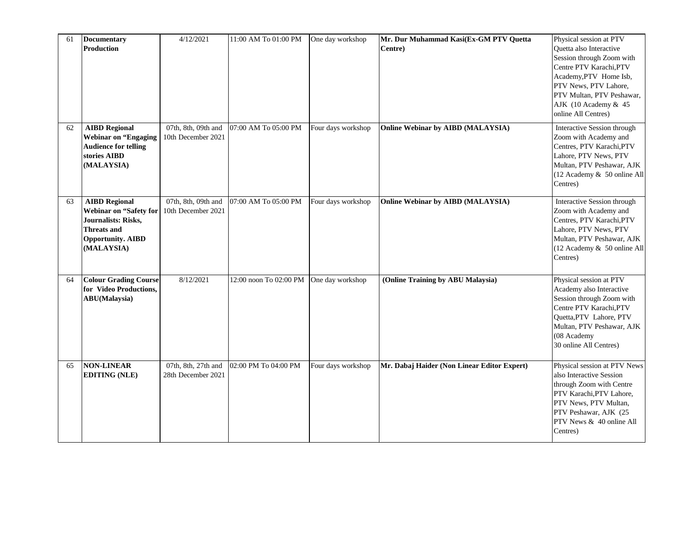| 61 | <b>Documentary</b><br><b>Production</b>                                                                                               | 4/12/2021                                 | 11:00 AM To 01:00 PM   | One day workshop   | Mr. Dur Muhammad Kasi(Ex-GM PTV Quetta<br>Centre) | Physical session at PTV<br>Quetta also Interactive<br>Session through Zoom with<br>Centre PTV Karachi, PTV<br>Academy, PTV Home Isb,<br>PTV News, PTV Lahore,<br>PTV Multan, PTV Peshawar,<br>AJK (10 Academy & 45<br>online All Centres) |
|----|---------------------------------------------------------------------------------------------------------------------------------------|-------------------------------------------|------------------------|--------------------|---------------------------------------------------|-------------------------------------------------------------------------------------------------------------------------------------------------------------------------------------------------------------------------------------------|
| 62 | <b>AIBD Regional</b><br><b>Webinar on "Engaging</b><br><b>Audience for telling</b><br>stories AIBD<br>(MALAYSIA)                      | 07th, 8th, 09th and<br>10th December 2021 | 07:00 AM To 05:00 PM   | Four days workshop | Online Webinar by AIBD (MALAYSIA)                 | Interactive Session through<br>Zoom with Academy and<br>Centres, PTV Karachi, PTV<br>Lahore, PTV News, PTV<br>Multan, PTV Peshawar, AJK<br>(12 Academy & 50 online All<br>Centres)                                                        |
| 63 | <b>AIBD Regional</b><br>Webinar on "Safety for<br>Journalists: Risks,<br><b>Threats and</b><br><b>Opportunity. AIBD</b><br>(MALAYSIA) | 07th, 8th, 09th and<br>10th December 2021 | 07:00 AM To 05:00 PM   | Four days workshop | Online Webinar by AIBD (MALAYSIA)                 | Interactive Session through<br>Zoom with Academy and<br>Centres, PTV Karachi, PTV<br>Lahore, PTV News, PTV<br>Multan, PTV Peshawar, AJK<br>(12 Academy & 50 online All<br>Centres)                                                        |
| 64 | <b>Colour Grading Course</b><br>for Video Productions,<br>ABU(Malaysia)                                                               | 8/12/2021                                 | 12:00 noon To 02:00 PM | One day workshop   | (Online Training by ABU Malaysia)                 | Physical session at PTV<br>Academy also Interactive<br>Session through Zoom with<br>Centre PTV Karachi, PTV<br>Quetta, PTV Lahore, PTV<br>Multan, PTV Peshawar, AJK<br>(08 Academy<br>30 online All Centres)                              |
| 65 | <b>NON-LINEAR</b><br><b>EDITING (NLE)</b>                                                                                             | 07th, 8th, 27th and<br>28th December 2021 | 02:00 PM To 04:00 PM   | Four days workshop | Mr. Dabaj Haider (Non Linear Editor Expert)       | Physical session at PTV News<br>also Interactive Session<br>through Zoom with Centre<br>PTV Karachi, PTV Lahore,<br>PTV News, PTV Multan,<br>PTV Peshawar, AJK (25<br>PTV News & 40 online All<br>Centres)                                |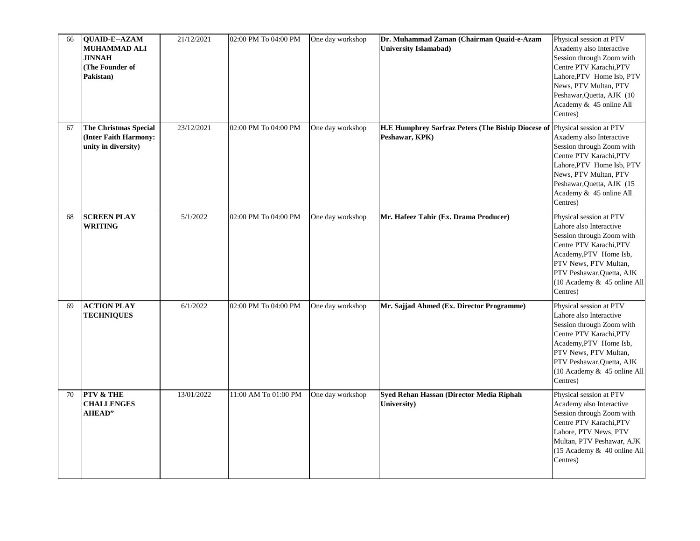| 66 | QUAID-E--AZAM<br><b>MUHAMMAD ALI</b><br><b>JINNAH</b><br>(The Founder of<br>Pakistan) | 21/12/2021 | 02:00 PM To 04:00 PM | One day workshop | Dr. Muhammad Zaman (Chairman Quaid-e-Azam<br><b>University Islamabad)</b>                    | Physical session at PTV<br>Axademy also Interactive<br>Session through Zoom with<br>Centre PTV Karachi, PTV<br>Lahore, PTV Home Isb, PTV<br>News, PTV Multan, PTV<br>Peshawar, Quetta, AJK (10<br>Academy & 45 online All<br>Centres) |
|----|---------------------------------------------------------------------------------------|------------|----------------------|------------------|----------------------------------------------------------------------------------------------|---------------------------------------------------------------------------------------------------------------------------------------------------------------------------------------------------------------------------------------|
| 67 | <b>The Christmas Special</b><br>(Inter Faith Harmony:<br>unity in diversity)          | 23/12/2021 | 02:00 PM To 04:00 PM | One day workshop | H.E Humphrey Sarfraz Peters (The Biship Diocese of Physical session at PTV<br>Peshawar, KPK) | Axademy also Interactive<br>Session through Zoom with<br>Centre PTV Karachi, PTV<br>Lahore, PTV Home Isb, PTV<br>News, PTV Multan, PTV<br>Peshawar, Quetta, AJK (15<br>Academy & 45 online All<br>Centres)                            |
| 68 | <b>SCREEN PLAY</b><br><b>WRITING</b>                                                  | 5/1/2022   | 02:00 PM To 04:00 PM | One day workshop | Mr. Hafeez Tahir (Ex. Drama Producer)                                                        | Physical session at PTV<br>Lahore also Interactive<br>Session through Zoom with<br>Centre PTV Karachi, PTV<br>Academy, PTV Home Isb,<br>PTV News, PTV Multan,<br>PTV Peshawar, Quetta, AJK<br>(10 Academy & 45 online All<br>Centres) |
| 69 | <b>ACTION PLAY</b><br><b>TECHNIQUES</b>                                               | 6/1/2022   | 02:00 PM To 04:00 PM | One day workshop | Mr. Sajjad Ahmed (Ex. Director Programme)                                                    | Physical session at PTV<br>Lahore also Interactive<br>Session through Zoom with<br>Centre PTV Karachi, PTV<br>Academy, PTV Home Isb,<br>PTV News, PTV Multan,<br>PTV Peshawar, Quetta, AJK<br>(10 Academy & 45 online All<br>Centres) |
| 70 | <b>PTV &amp; THE</b><br><b>CHALLENGES</b><br><b>AHEAD"</b>                            | 13/01/2022 | 11:00 AM To 01:00 PM | One day workshop | Syed Rehan Hassan (Director Media Riphah<br>University)                                      | Physical session at PTV<br>Academy also Interactive<br>Session through Zoom with<br>Centre PTV Karachi, PTV<br>Lahore, PTV News, PTV<br>Multan, PTV Peshawar, AJK<br>(15 Academy & 40 online All<br>Centres)                          |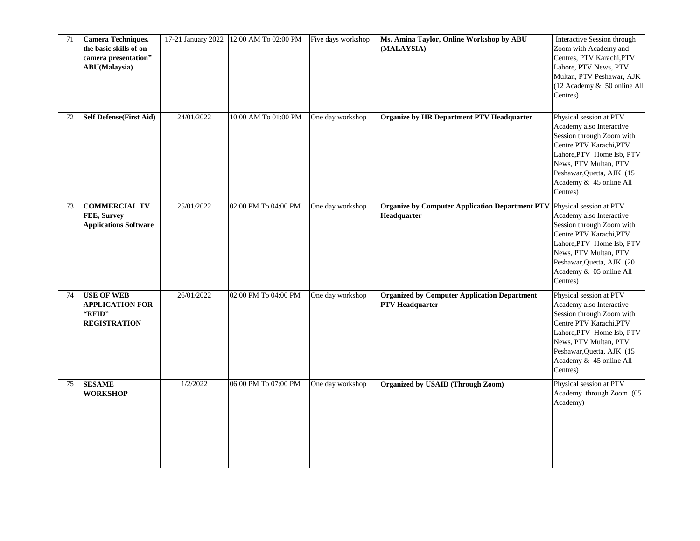| 71 | Camera Techniques,<br>the basic skills of on-<br>camera presentation"<br><b>ABU</b> (Malaysia) | 17-21 January 2022 | 12:00 AM To 02:00 PM | Five days workshop | Ms. Amina Taylor, Online Workshop by ABU<br>(MALAYSIA)                                        | Interactive Session through<br>Zoom with Academy and<br>Centres, PTV Karachi, PTV<br>Lahore, PTV News, PTV<br>Multan, PTV Peshawar, AJK<br>(12 Academy & 50 online All<br>Centres)                                                     |
|----|------------------------------------------------------------------------------------------------|--------------------|----------------------|--------------------|-----------------------------------------------------------------------------------------------|----------------------------------------------------------------------------------------------------------------------------------------------------------------------------------------------------------------------------------------|
| 72 | <b>Self Defense(First Aid)</b>                                                                 | 24/01/2022         | 10:00 AM To 01:00 PM | One day workshop   | <b>Organize by HR Department PTV Headquarter</b>                                              | Physical session at PTV<br>Academy also Interactive<br>Session through Zoom with<br>Centre PTV Karachi, PTV<br>Lahore, PTV Home Isb, PTV<br>News, PTV Multan, PTV<br>Peshawar, Quetta, AJK (15)<br>Academy & 45 online All<br>Centres) |
| 73 | <b>COMMERCIAL TV</b><br>FEE, Survey<br><b>Applications Software</b>                            | 25/01/2022         | 02:00 PM To 04:00 PM | One day workshop   | <b>Organize by Computer Application Department PTV</b> Physical session at PTV<br>Headquarter | Academy also Interactive<br>Session through Zoom with<br>Centre PTV Karachi, PTV<br>Lahore, PTV Home Isb, PTV<br>News, PTV Multan, PTV<br>Peshawar, Quetta, AJK (20<br>Academy & 05 online All<br>Centres)                             |
| 74 | <b>USE OF WEB</b><br><b>APPLICATION FOR</b><br>"RFID"<br><b>REGISTRATION</b>                   | 26/01/2022         | 02:00 PM To 04:00 PM | One day workshop   | <b>Organized by Computer Application Department</b><br><b>PTV Headquarter</b>                 | Physical session at PTV<br>Academy also Interactive<br>Session through Zoom with<br>Centre PTV Karachi, PTV<br>Lahore, PTV Home Isb, PTV<br>News, PTV Multan, PTV<br>Peshawar, Quetta, AJK (15<br>Academy & 45 online All<br>Centres)  |
| 75 | <b>SESAME</b><br>WORKSHOP                                                                      | 1/2/2022           | 06:00 PM To 07:00 PM | One day workshop   | Organized by USAID (Through Zoom)                                                             | Physical session at PTV<br>Academy through Zoom (05<br>Academy)                                                                                                                                                                        |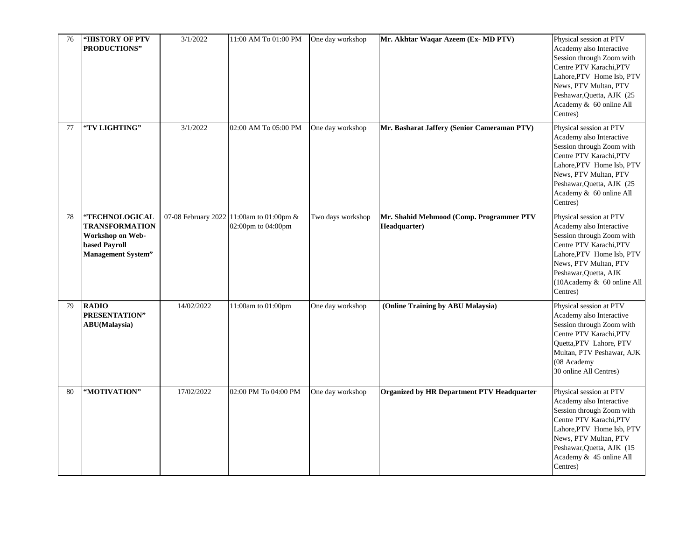| 76 | <b>"HISTORY OF PTV</b><br>PRODUCTIONS"                                                                    | 3/1/2022   | 11:00 AM To 01:00 PM                                           | One day workshop  | Mr. Akhtar Waqar Azeem (Ex- MD PTV)                      | Physical session at PTV<br>Academy also Interactive<br>Session through Zoom with<br>Centre PTV Karachi, PTV<br>Lahore, PTV Home Isb, PTV<br>News, PTV Multan, PTV<br>Peshawar, Quetta, AJK (25<br>Academy & 60 online All<br>Centres)   |
|----|-----------------------------------------------------------------------------------------------------------|------------|----------------------------------------------------------------|-------------------|----------------------------------------------------------|-----------------------------------------------------------------------------------------------------------------------------------------------------------------------------------------------------------------------------------------|
| 77 | "TV LIGHTING"                                                                                             | 3/1/2022   | 02:00 AM To 05:00 PM                                           | One day workshop  | Mr. Basharat Jaffery (Senior Cameraman PTV)              | Physical session at PTV<br>Academy also Interactive<br>Session through Zoom with<br>Centre PTV Karachi, PTV<br>Lahore, PTV Home Isb, PTV<br>News, PTV Multan, PTV<br>Peshawar, Quetta, AJK (25)<br>Academy & 60 online All<br>Centres)  |
| 78 | "TECHNOLOGICAL<br><b>TRANSFORMATION</b><br>Workshop on Web-<br>based Payroll<br><b>Management System"</b> |            | 07-08 February 2022 11:00am to 01:00pm &<br>02:00pm to 04:00pm | Two days workshop | Mr. Shahid Mehmood (Comp. Programmer PTV<br>Headquarter) | Physical session at PTV<br>Academy also Interactive<br>Session through Zoom with<br>Centre PTV Karachi, PTV<br>Lahore, PTV Home Isb, PTV<br>News, PTV Multan, PTV<br>Peshawar, Quetta, AJK<br>$(10$ Academy & 60 online All<br>Centres) |
| 79 | <b>RADIO</b><br>PRESENTATION"<br><b>ABU</b> (Malaysia)                                                    | 14/02/2022 | 11:00am to 01:00pm                                             | One day workshop  | (Online Training by ABU Malaysia)                        | Physical session at PTV<br>Academy also Interactive<br>Session through Zoom with<br>Centre PTV Karachi, PTV<br>Quetta, PTV Lahore, PTV<br>Multan, PTV Peshawar, AJK<br>(08 Academy<br>30 online All Centres)                            |
| 80 | "MOTIVATION"                                                                                              | 17/02/2022 | 02:00 PM To 04:00 PM                                           | One day workshop  | <b>Organized by HR Department PTV Headquarter</b>        | Physical session at PTV<br>Academy also Interactive<br>Session through Zoom with<br>Centre PTV Karachi, PTV<br>Lahore, PTV Home Isb, PTV<br>News, PTV Multan, PTV<br>Peshawar, Quetta, AJK (15<br>Academy & 45 online All<br>Centres)   |